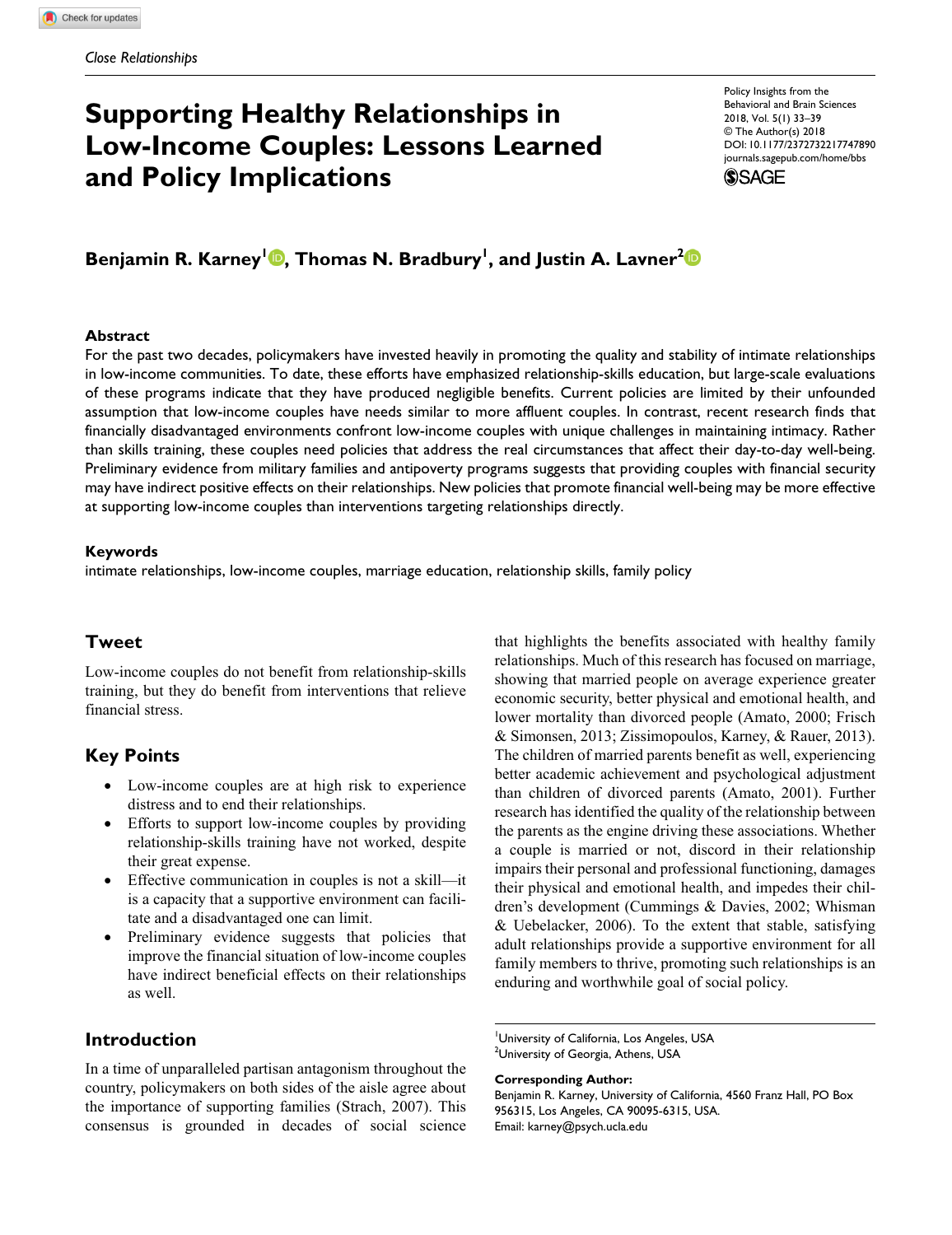# **Supporting Healthy Relationships in Low-Income Couples: Lessons Learned and Policy Implications**

https://doi.org/10.1177/2372732217747890 DOI: 10.1177/2372732217747890 Policy Insights from the Behavioral and Brain Sciences 2018, Vol. 5(1) 33–39 © The Author(s) 2018 [journals.sagepub.com/home/bbs](https://journals.sagepub.com/home/
bbs)



## Benjamin R. Karney'<sup>ID</sup>, Thomas N. Bradbury<sup>'</sup>, and Justin A. Lavner<sup>2</sup>

#### **Abstract**

For the past two decades, policymakers have invested heavily in promoting the quality and stability of intimate relationships in low-income communities. To date, these efforts have emphasized relationship-skills education, but large-scale evaluations of these programs indicate that they have produced negligible benefits. Current policies are limited by their unfounded assumption that low-income couples have needs similar to more affluent couples. In contrast, recent research finds that financially disadvantaged environments confront low-income couples with unique challenges in maintaining intimacy. Rather than skills training, these couples need policies that address the real circumstances that affect their day-to-day well-being. Preliminary evidence from military families and antipoverty programs suggests that providing couples with financial security may have indirect positive effects on their relationships. New policies that promote financial well-being may be more effective at supporting low-income couples than interventions targeting relationships directly.

#### **Keywords**

intimate relationships, low-income couples, marriage education, relationship skills, family policy

### **Tweet**

Low-income couples do not benefit from relationship-skills training, but they do benefit from interventions that relieve financial stress.

## **Key Points**

- Low-income couples are at high risk to experience distress and to end their relationships.
- Efforts to support low-income couples by providing relationship-skills training have not worked, despite their great expense.
- Effective communication in couples is not a skill—it is a capacity that a supportive environment can facilitate and a disadvantaged one can limit.
- Preliminary evidence suggests that policies that improve the financial situation of low-income couples have indirect beneficial effects on their relationships as well.

## **Introduction**

In a time of unparalleled partisan antagonism throughout the country, policymakers on both sides of the aisle agree about the importance of supporting families (Strach, 2007). This consensus is grounded in decades of social science that highlights the benefits associated with healthy family relationships. Much of this research has focused on marriage, showing that married people on average experience greater economic security, better physical and emotional health, and lower mortality than divorced people (Amato, 2000; Frisch & Simonsen, 2013; Zissimopoulos, Karney, & Rauer, 2013). The children of married parents benefit as well, experiencing better academic achievement and psychological adjustment than children of divorced parents (Amato, 2001). Further research has identified the quality of the relationship between the parents as the engine driving these associations. Whether a couple is married or not, discord in their relationship impairs their personal and professional functioning, damages their physical and emotional health, and impedes their children's development (Cummings & Davies, 2002; Whisman & Uebelacker, 2006). To the extent that stable, satisfying adult relationships provide a supportive environment for all family members to thrive, promoting such relationships is an enduring and worthwhile goal of social policy.

**Corresponding Author:**

University of California, Los Angeles, USA  $^2$ University of Georgia, Athens, USA

Benjamin R. Karney, University of California, 4560 Franz Hall, PO Box 956315, Los Angeles, CA 90095-6315, USA. Email: karney@psych.ucla.edu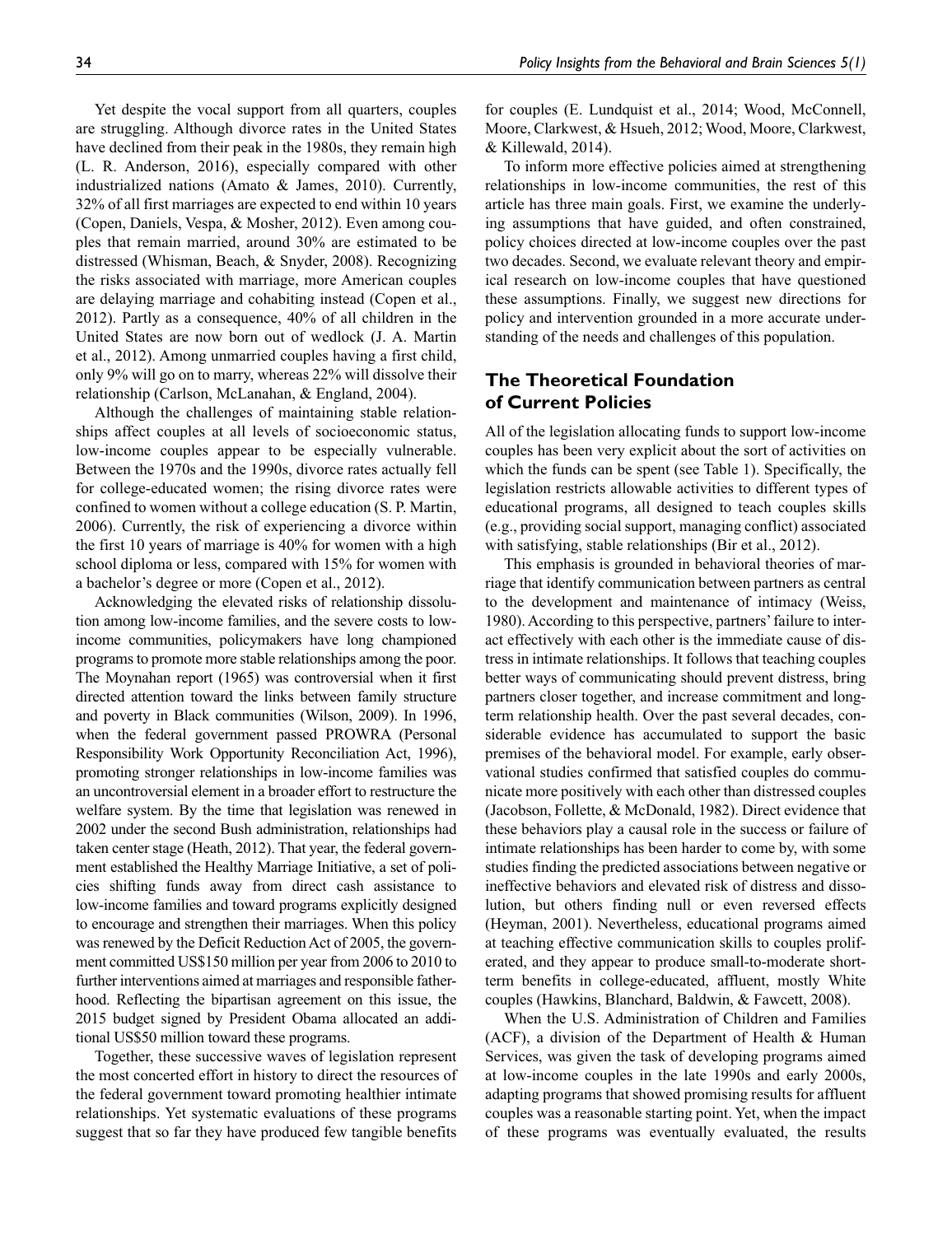Yet despite the vocal support from all quarters, couples are struggling. Although divorce rates in the United States have declined from their peak in the 1980s, they remain high (L. R. Anderson, 2016), especially compared with other industrialized nations (Amato & James, 2010). Currently, 32% of all first marriages are expected to end within 10 years (Copen, Daniels, Vespa, & Mosher, 2012). Even among couples that remain married, around 30% are estimated to be distressed (Whisman, Beach, & Snyder, 2008). Recognizing the risks associated with marriage, more American couples are delaying marriage and cohabiting instead (Copen et al., 2012). Partly as a consequence, 40% of all children in the United States are now born out of wedlock (J. A. Martin et al., 2012). Among unmarried couples having a first child, only 9% will go on to marry, whereas 22% will dissolve their relationship (Carlson, McLanahan, & England, 2004).

Although the challenges of maintaining stable relationships affect couples at all levels of socioeconomic status, low-income couples appear to be especially vulnerable. Between the 1970s and the 1990s, divorce rates actually fell for college-educated women; the rising divorce rates were confined to women without a college education (S. P. Martin, 2006). Currently, the risk of experiencing a divorce within the first 10 years of marriage is 40% for women with a high school diploma or less, compared with 15% for women with a bachelor's degree or more (Copen et al., 2012).

Acknowledging the elevated risks of relationship dissolution among low-income families, and the severe costs to lowincome communities, policymakers have long championed programs to promote more stable relationships among the poor. The Moynahan report (1965) was controversial when it first directed attention toward the links between family structure and poverty in Black communities (Wilson, 2009). In 1996, when the federal government passed PROWRA (Personal Responsibility Work Opportunity Reconciliation Act, 1996), promoting stronger relationships in low-income families was an uncontroversial element in a broader effort to restructure the welfare system. By the time that legislation was renewed in 2002 under the second Bush administration, relationships had taken center stage (Heath, 2012). That year, the federal government established the Healthy Marriage Initiative, a set of policies shifting funds away from direct cash assistance to low-income families and toward programs explicitly designed to encourage and strengthen their marriages. When this policy was renewed by the Deficit Reduction Act of 2005, the government committed US\$150 million per year from 2006 to 2010 to further interventions aimed at marriages and responsible fatherhood. Reflecting the bipartisan agreement on this issue, the 2015 budget signed by President Obama allocated an additional US\$50 million toward these programs.

Together, these successive waves of legislation represent the most concerted effort in history to direct the resources of the federal government toward promoting healthier intimate relationships. Yet systematic evaluations of these programs suggest that so far they have produced few tangible benefits

for couples (E. Lundquist et al., 2014; Wood, McConnell, Moore, Clarkwest, & Hsueh, 2012; Wood, Moore, Clarkwest, & Killewald, 2014).

To inform more effective policies aimed at strengthening relationships in low-income communities, the rest of this article has three main goals. First, we examine the underlying assumptions that have guided, and often constrained, policy choices directed at low-income couples over the past two decades. Second, we evaluate relevant theory and empirical research on low-income couples that have questioned these assumptions. Finally, we suggest new directions for policy and intervention grounded in a more accurate understanding of the needs and challenges of this population.

## **The Theoretical Foundation of Current Policies**

All of the legislation allocating funds to support low-income couples has been very explicit about the sort of activities on which the funds can be spent (see Table 1). Specifically, the legislation restricts allowable activities to different types of educational programs, all designed to teach couples skills (e.g., providing social support, managing conflict) associated with satisfying, stable relationships (Bir et al., 2012).

This emphasis is grounded in behavioral theories of marriage that identify communication between partners as central to the development and maintenance of intimacy (Weiss, 1980). According to this perspective, partners' failure to interact effectively with each other is the immediate cause of distress in intimate relationships. It follows that teaching couples better ways of communicating should prevent distress, bring partners closer together, and increase commitment and longterm relationship health. Over the past several decades, considerable evidence has accumulated to support the basic premises of the behavioral model. For example, early observational studies confirmed that satisfied couples do communicate more positively with each other than distressed couples (Jacobson, Follette, & McDonald, 1982). Direct evidence that these behaviors play a causal role in the success or failure of intimate relationships has been harder to come by, with some studies finding the predicted associations between negative or ineffective behaviors and elevated risk of distress and dissolution, but others finding null or even reversed effects (Heyman, 2001). Nevertheless, educational programs aimed at teaching effective communication skills to couples proliferated, and they appear to produce small-to-moderate shortterm benefits in college-educated, affluent, mostly White couples (Hawkins, Blanchard, Baldwin, & Fawcett, 2008).

When the U.S. Administration of Children and Families (ACF), a division of the Department of Health & Human Services, was given the task of developing programs aimed at low-income couples in the late 1990s and early 2000s, adapting programs that showed promising results for affluent couples was a reasonable starting point. Yet, when the impact of these programs was eventually evaluated, the results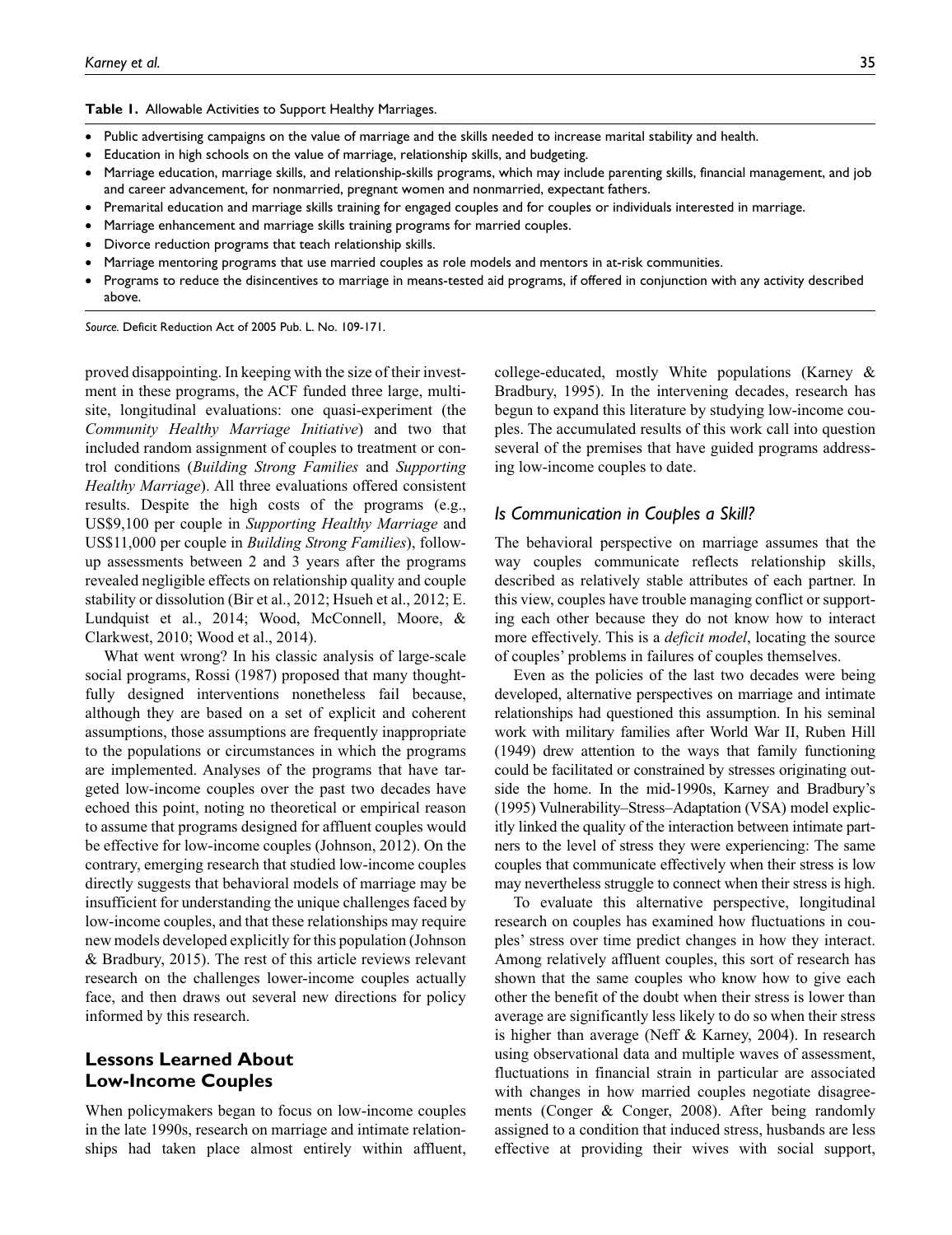**Table 1.** Allowable Activities to Support Healthy Marriages.

- Public advertising campaigns on the value of marriage and the skills needed to increase marital stability and health.
- Education in high schools on the value of marriage, relationship skills, and budgeting.
- Marriage education, marriage skills, and relationship-skills programs, which may include parenting skills, financial management, and job and career advancement, for nonmarried, pregnant women and nonmarried, expectant fathers.
- Premarital education and marriage skills training for engaged couples and for couples or individuals interested in marriage.
- Marriage enhancement and marriage skills training programs for married couples.
- Divorce reduction programs that teach relationship skills.
- Marriage mentoring programs that use married couples as role models and mentors in at-risk communities.
- Programs to reduce the disincentives to marriage in means-tested aid programs, if offered in conjunction with any activity described above.

*Source.* Deficit Reduction Act of 2005 Pub. L. No. 109-171.

proved disappointing. In keeping with the size of their investment in these programs, the ACF funded three large, multisite, longitudinal evaluations: one quasi-experiment (the *Community Healthy Marriage Initiative*) and two that included random assignment of couples to treatment or control conditions (*Building Strong Families* and *Supporting Healthy Marriage*). All three evaluations offered consistent results. Despite the high costs of the programs (e.g., US\$9,100 per couple in *Supporting Healthy Marriage* and US\$11,000 per couple in *Building Strong Families*), followup assessments between 2 and 3 years after the programs revealed negligible effects on relationship quality and couple stability or dissolution (Bir et al., 2012; Hsueh et al., 2012; E. Lundquist et al., 2014; Wood, McConnell, Moore, & Clarkwest, 2010; Wood et al., 2014).

What went wrong? In his classic analysis of large-scale social programs, Rossi (1987) proposed that many thoughtfully designed interventions nonetheless fail because, although they are based on a set of explicit and coherent assumptions, those assumptions are frequently inappropriate to the populations or circumstances in which the programs are implemented. Analyses of the programs that have targeted low-income couples over the past two decades have echoed this point, noting no theoretical or empirical reason to assume that programs designed for affluent couples would be effective for low-income couples (Johnson, 2012). On the contrary, emerging research that studied low-income couples directly suggests that behavioral models of marriage may be insufficient for understanding the unique challenges faced by low-income couples, and that these relationships may require new models developed explicitly for this population (Johnson & Bradbury, 2015). The rest of this article reviews relevant research on the challenges lower-income couples actually face, and then draws out several new directions for policy informed by this research.

## **Lessons Learned About Low-Income Couples**

When policymakers began to focus on low-income couples in the late 1990s, research on marriage and intimate relationships had taken place almost entirely within affluent,

college-educated, mostly White populations (Karney & Bradbury, 1995). In the intervening decades, research has begun to expand this literature by studying low-income couples. The accumulated results of this work call into question several of the premises that have guided programs addressing low-income couples to date.

#### *Is Communication in Couples a Skill?*

The behavioral perspective on marriage assumes that the way couples communicate reflects relationship skills, described as relatively stable attributes of each partner. In this view, couples have trouble managing conflict or supporting each other because they do not know how to interact more effectively. This is a *deficit model*, locating the source of couples' problems in failures of couples themselves.

Even as the policies of the last two decades were being developed, alternative perspectives on marriage and intimate relationships had questioned this assumption. In his seminal work with military families after World War II, Ruben Hill (1949) drew attention to the ways that family functioning could be facilitated or constrained by stresses originating outside the home. In the mid-1990s, Karney and Bradbury's (1995) Vulnerability–Stress–Adaptation (VSA) model explicitly linked the quality of the interaction between intimate partners to the level of stress they were experiencing: The same couples that communicate effectively when their stress is low may nevertheless struggle to connect when their stress is high.

To evaluate this alternative perspective, longitudinal research on couples has examined how fluctuations in couples' stress over time predict changes in how they interact. Among relatively affluent couples, this sort of research has shown that the same couples who know how to give each other the benefit of the doubt when their stress is lower than average are significantly less likely to do so when their stress is higher than average (Neff & Karney, 2004). In research using observational data and multiple waves of assessment, fluctuations in financial strain in particular are associated with changes in how married couples negotiate disagreements (Conger & Conger, 2008). After being randomly assigned to a condition that induced stress, husbands are less effective at providing their wives with social support,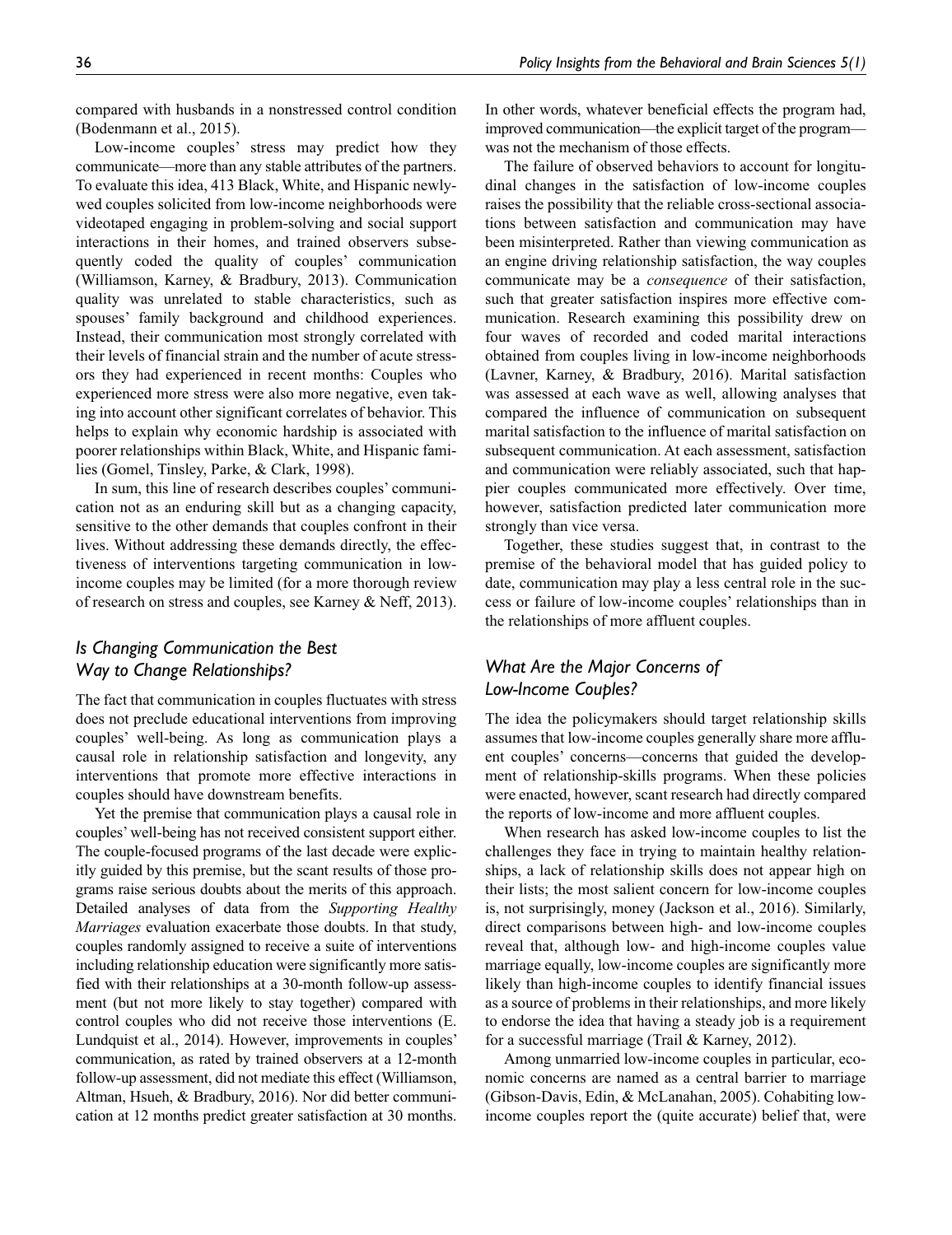compared with husbands in a nonstressed control condition (Bodenmann et al., 2015).

Low-income couples' stress may predict how they communicate—more than any stable attributes of the partners. To evaluate this idea, 413 Black, White, and Hispanic newlywed couples solicited from low-income neighborhoods were videotaped engaging in problem-solving and social support interactions in their homes, and trained observers subsequently coded the quality of couples' communication (Williamson, Karney, & Bradbury, 2013). Communication quality was unrelated to stable characteristics, such as spouses' family background and childhood experiences. Instead, their communication most strongly correlated with their levels of financial strain and the number of acute stressors they had experienced in recent months: Couples who experienced more stress were also more negative, even taking into account other significant correlates of behavior. This helps to explain why economic hardship is associated with poorer relationships within Black, White, and Hispanic families (Gomel, Tinsley, Parke, & Clark, 1998).

In sum, this line of research describes couples' communication not as an enduring skill but as a changing capacity, sensitive to the other demands that couples confront in their lives. Without addressing these demands directly, the effectiveness of interventions targeting communication in lowincome couples may be limited (for a more thorough review of research on stress and couples, see Karney & Neff, 2013).

## *Is Changing Communication the Best Way to Change Relationships?*

The fact that communication in couples fluctuates with stress does not preclude educational interventions from improving couples' well-being. As long as communication plays a causal role in relationship satisfaction and longevity, any interventions that promote more effective interactions in couples should have downstream benefits.

Yet the premise that communication plays a causal role in couples' well-being has not received consistent support either. The couple-focused programs of the last decade were explicitly guided by this premise, but the scant results of those programs raise serious doubts about the merits of this approach. Detailed analyses of data from the *Supporting Healthy Marriages* evaluation exacerbate those doubts. In that study, couples randomly assigned to receive a suite of interventions including relationship education were significantly more satisfied with their relationships at a 30-month follow-up assessment (but not more likely to stay together) compared with control couples who did not receive those interventions (E. Lundquist et al., 2014). However, improvements in couples' communication, as rated by trained observers at a 12-month follow-up assessment, did not mediate this effect (Williamson, Altman, Hsueh, & Bradbury, 2016). Nor did better communication at 12 months predict greater satisfaction at 30 months.

In other words, whatever beneficial effects the program had, improved communication—the explicit target of the program was not the mechanism of those effects.

The failure of observed behaviors to account for longitudinal changes in the satisfaction of low-income couples raises the possibility that the reliable cross-sectional associations between satisfaction and communication may have been misinterpreted. Rather than viewing communication as an engine driving relationship satisfaction, the way couples communicate may be a *consequence* of their satisfaction, such that greater satisfaction inspires more effective communication. Research examining this possibility drew on four waves of recorded and coded marital interactions obtained from couples living in low-income neighborhoods (Lavner, Karney, & Bradbury, 2016). Marital satisfaction was assessed at each wave as well, allowing analyses that compared the influence of communication on subsequent marital satisfaction to the influence of marital satisfaction on subsequent communication. At each assessment, satisfaction and communication were reliably associated, such that happier couples communicated more effectively. Over time, however, satisfaction predicted later communication more strongly than vice versa.

Together, these studies suggest that, in contrast to the premise of the behavioral model that has guided policy to date, communication may play a less central role in the success or failure of low-income couples' relationships than in the relationships of more affluent couples.

## *What Are the Major Concerns of Low-Income Couples?*

The idea the policymakers should target relationship skills assumes that low-income couples generally share more affluent couples' concerns—concerns that guided the development of relationship-skills programs. When these policies were enacted, however, scant research had directly compared the reports of low-income and more affluent couples.

When research has asked low-income couples to list the challenges they face in trying to maintain healthy relationships, a lack of relationship skills does not appear high on their lists; the most salient concern for low-income couples is, not surprisingly, money (Jackson et al., 2016). Similarly, direct comparisons between high- and low-income couples reveal that, although low- and high-income couples value marriage equally, low-income couples are significantly more likely than high-income couples to identify financial issues as a source of problems in their relationships, and more likely to endorse the idea that having a steady job is a requirement for a successful marriage (Trail & Karney, 2012).

Among unmarried low-income couples in particular, economic concerns are named as a central barrier to marriage (Gibson-Davis, Edin, & McLanahan, 2005). Cohabiting lowincome couples report the (quite accurate) belief that, were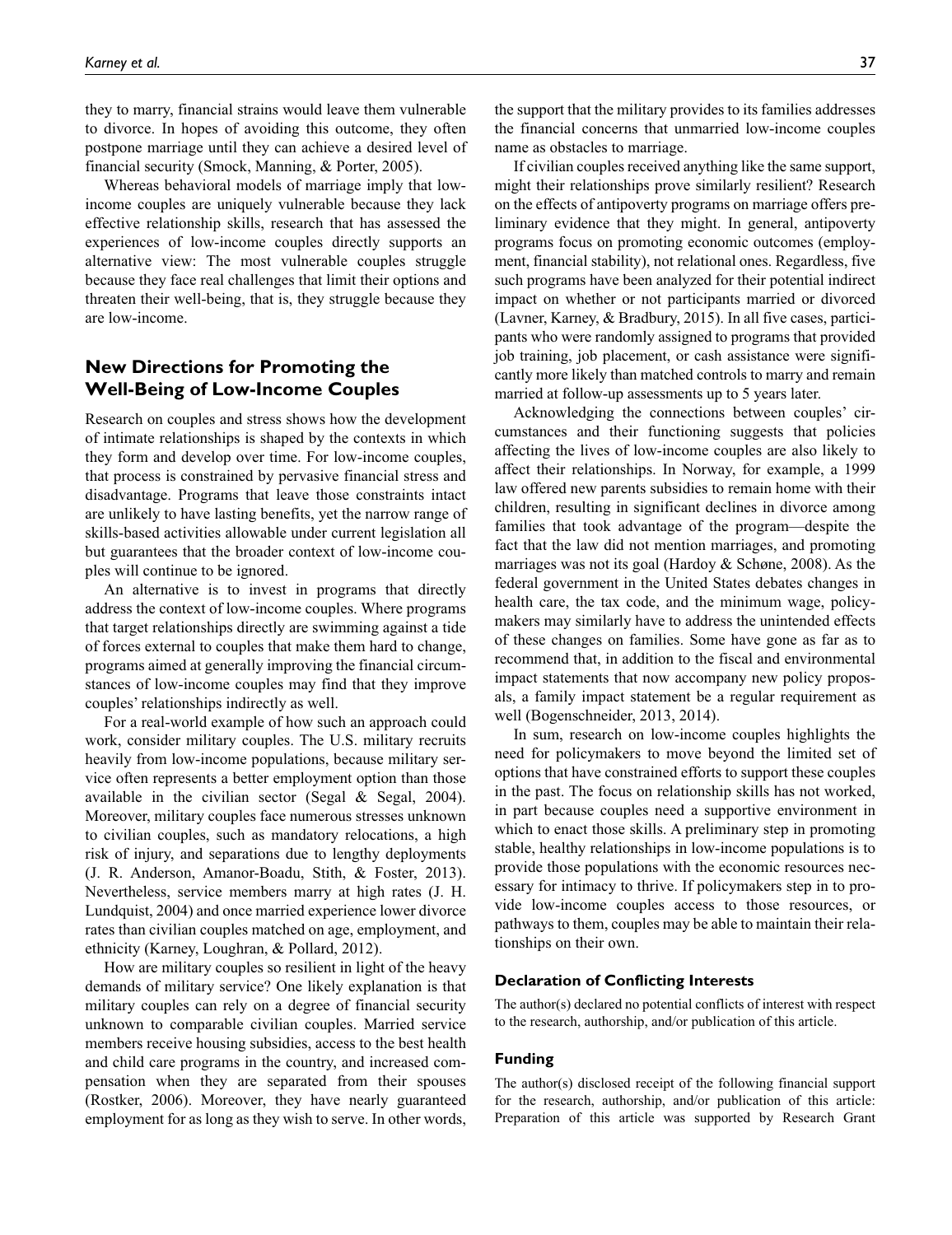they to marry, financial strains would leave them vulnerable to divorce. In hopes of avoiding this outcome, they often postpone marriage until they can achieve a desired level of financial security (Smock, Manning, & Porter, 2005).

Whereas behavioral models of marriage imply that lowincome couples are uniquely vulnerable because they lack effective relationship skills, research that has assessed the experiences of low-income couples directly supports an alternative view: The most vulnerable couples struggle because they face real challenges that limit their options and threaten their well-being, that is, they struggle because they are low-income.

## **New Directions for Promoting the Well-Being of Low-Income Couples**

Research on couples and stress shows how the development of intimate relationships is shaped by the contexts in which they form and develop over time. For low-income couples, that process is constrained by pervasive financial stress and disadvantage. Programs that leave those constraints intact are unlikely to have lasting benefits, yet the narrow range of skills-based activities allowable under current legislation all but guarantees that the broader context of low-income couples will continue to be ignored.

An alternative is to invest in programs that directly address the context of low-income couples. Where programs that target relationships directly are swimming against a tide of forces external to couples that make them hard to change, programs aimed at generally improving the financial circumstances of low-income couples may find that they improve couples' relationships indirectly as well.

For a real-world example of how such an approach could work, consider military couples. The U.S. military recruits heavily from low-income populations, because military service often represents a better employment option than those available in the civilian sector (Segal & Segal, 2004). Moreover, military couples face numerous stresses unknown to civilian couples, such as mandatory relocations, a high risk of injury, and separations due to lengthy deployments (J. R. Anderson, Amanor-Boadu, Stith, & Foster, 2013). Nevertheless, service members marry at high rates (J. H. Lundquist, 2004) and once married experience lower divorce rates than civilian couples matched on age, employment, and ethnicity (Karney, Loughran, & Pollard, 2012).

How are military couples so resilient in light of the heavy demands of military service? One likely explanation is that military couples can rely on a degree of financial security unknown to comparable civilian couples. Married service members receive housing subsidies, access to the best health and child care programs in the country, and increased compensation when they are separated from their spouses (Rostker, 2006). Moreover, they have nearly guaranteed employment for as long as they wish to serve. In other words,

the support that the military provides to its families addresses the financial concerns that unmarried low-income couples name as obstacles to marriage.

If civilian couples received anything like the same support, might their relationships prove similarly resilient? Research on the effects of antipoverty programs on marriage offers preliminary evidence that they might. In general, antipoverty programs focus on promoting economic outcomes (employment, financial stability), not relational ones. Regardless, five such programs have been analyzed for their potential indirect impact on whether or not participants married or divorced (Lavner, Karney, & Bradbury, 2015). In all five cases, participants who were randomly assigned to programs that provided job training, job placement, or cash assistance were significantly more likely than matched controls to marry and remain married at follow-up assessments up to 5 years later.

Acknowledging the connections between couples' circumstances and their functioning suggests that policies affecting the lives of low-income couples are also likely to affect their relationships. In Norway, for example, a 1999 law offered new parents subsidies to remain home with their children, resulting in significant declines in divorce among families that took advantage of the program—despite the fact that the law did not mention marriages, and promoting marriages was not its goal (Hardoy & Schøne, 2008). As the federal government in the United States debates changes in health care, the tax code, and the minimum wage, policymakers may similarly have to address the unintended effects of these changes on families. Some have gone as far as to recommend that, in addition to the fiscal and environmental impact statements that now accompany new policy proposals, a family impact statement be a regular requirement as well (Bogenschneider, 2013, 2014).

In sum, research on low-income couples highlights the need for policymakers to move beyond the limited set of options that have constrained efforts to support these couples in the past. The focus on relationship skills has not worked, in part because couples need a supportive environment in which to enact those skills. A preliminary step in promoting stable, healthy relationships in low-income populations is to provide those populations with the economic resources necessary for intimacy to thrive. If policymakers step in to provide low-income couples access to those resources, or pathways to them, couples may be able to maintain their relationships on their own.

#### **Declaration of Conflicting Interests**

The author(s) declared no potential conflicts of interest with respect to the research, authorship, and/or publication of this article.

#### **Funding**

The author(s) disclosed receipt of the following financial support for the research, authorship, and/or publication of this article: Preparation of this article was supported by Research Grant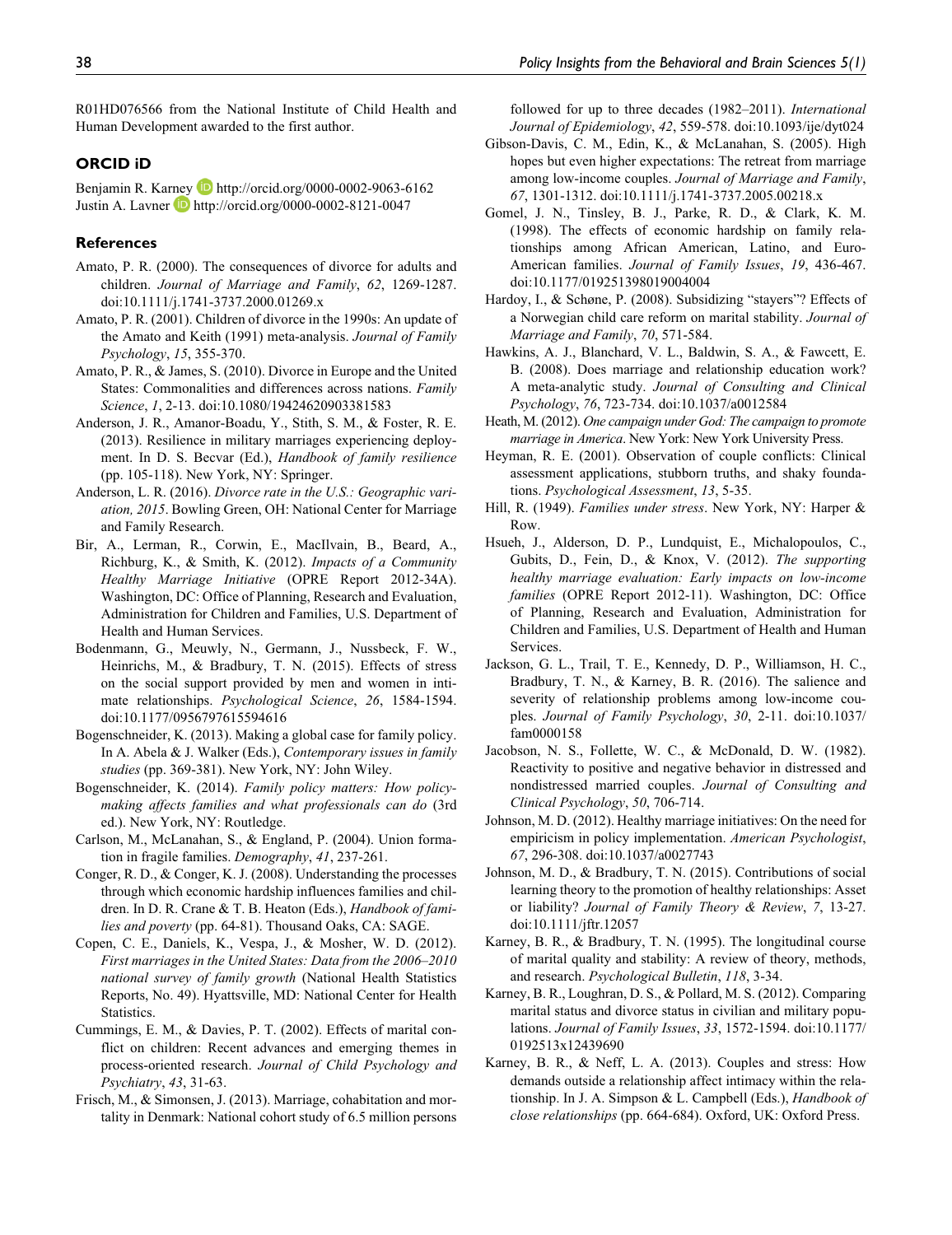R01HD076566 from the National Institute of Child Health and Human Development awarded to the first author.

#### **ORCID iD**

Benjamin R. Karney D http://orcid.org/0000-0002-9063-6162 Justin A. Lavner **b** http://orcid.org/0000-0002-8121-0047

#### **References**

- Amato, P. R. (2000). The consequences of divorce for adults and children. *Journal of Marriage and Family*, *62*, 1269-1287. doi:10.1111/j.1741-3737.2000.01269.x
- Amato, P. R. (2001). Children of divorce in the 1990s: An update of the Amato and Keith (1991) meta-analysis. *Journal of Family Psychology*, *15*, 355-370.
- Amato, P. R., & James, S. (2010). Divorce in Europe and the United States: Commonalities and differences across nations. *Family Science*, *1*, 2-13. doi:10.1080/19424620903381583
- Anderson, J. R., Amanor-Boadu, Y., Stith, S. M., & Foster, R. E. (2013). Resilience in military marriages experiencing deployment. In D. S. Becvar (Ed.), *Handbook of family resilience* (pp. 105-118). New York, NY: Springer.
- Anderson, L. R. (2016). *Divorce rate in the U.S.: Geographic variation, 2015*. Bowling Green, OH: National Center for Marriage and Family Research.
- Bir, A., Lerman, R., Corwin, E., MacIlvain, B., Beard, A., Richburg, K., & Smith, K. (2012). *Impacts of a Community Healthy Marriage Initiative* (OPRE Report 2012-34A). Washington, DC: Office of Planning, Research and Evaluation, Administration for Children and Families, U.S. Department of Health and Human Services.
- Bodenmann, G., Meuwly, N., Germann, J., Nussbeck, F. W., Heinrichs, M., & Bradbury, T. N. (2015). Effects of stress on the social support provided by men and women in intimate relationships. *Psychological Science*, *26*, 1584-1594. doi:10.1177/0956797615594616
- Bogenschneider, K. (2013). Making a global case for family policy. In A. Abela & J. Walker (Eds.), *Contemporary issues in family studies* (pp. 369-381). New York, NY: John Wiley.
- Bogenschneider, K. (2014). *Family policy matters: How policymaking affects families and what professionals can do* (3rd ed.). New York, NY: Routledge.
- Carlson, M., McLanahan, S., & England, P. (2004). Union formation in fragile families. *Demography*, *41*, 237-261.
- Conger, R. D., & Conger, K. J. (2008). Understanding the processes through which economic hardship influences families and children. In D. R. Crane & T. B. Heaton (Eds.), *Handbook of families and poverty* (pp. 64-81). Thousand Oaks, CA: SAGE.
- Copen, C. E., Daniels, K., Vespa, J., & Mosher, W. D. (2012). *First marriages in the United States: Data from the 2006–2010 national survey of family growth* (National Health Statistics Reports, No. 49). Hyattsville, MD: National Center for Health Statistics.
- Cummings, E. M., & Davies, P. T. (2002). Effects of marital conflict on children: Recent advances and emerging themes in process-oriented research. *Journal of Child Psychology and Psychiatry*, *43*, 31-63.
- Frisch, M., & Simonsen, J. (2013). Marriage, cohabitation and mortality in Denmark: National cohort study of 6.5 million persons

followed for up to three decades (1982–2011). *International Journal of Epidemiology*, *42*, 559-578. doi:10.1093/ije/dyt024

- Gibson-Davis, C. M., Edin, K., & McLanahan, S. (2005). High hopes but even higher expectations: The retreat from marriage among low-income couples. *Journal of Marriage and Family*, *67*, 1301-1312. doi:10.1111/j.1741-3737.2005.00218.x
- Gomel, J. N., Tinsley, B. J., Parke, R. D., & Clark, K. M. (1998). The effects of economic hardship on family relationships among African American, Latino, and Euro-American families. *Journal of Family Issues*, *19*, 436-467. doi:10.1177/019251398019004004
- Hardoy, I., & Schøne, P. (2008). Subsidizing "stayers"? Effects of a Norwegian child care reform on marital stability. *Journal of Marriage and Family*, *70*, 571-584.
- Hawkins, A. J., Blanchard, V. L., Baldwin, S. A., & Fawcett, E. B. (2008). Does marriage and relationship education work? A meta-analytic study. *Journal of Consulting and Clinical Psychology*, *76*, 723-734. doi:10.1037/a0012584
- Heath, M. (2012). *One campaign under God: The campaign to promote marriage in America*. New York: New York University Press.
- Heyman, R. E. (2001). Observation of couple conflicts: Clinical assessment applications, stubborn truths, and shaky foundations. *Psychological Assessment*, *13*, 5-35.
- Hill, R. (1949). *Families under stress*. New York, NY: Harper & Row.
- Hsueh, J., Alderson, D. P., Lundquist, E., Michalopoulos, C., Gubits, D., Fein, D., & Knox, V. (2012). *The supporting healthy marriage evaluation: Early impacts on low-income families* (OPRE Report 2012-11). Washington, DC: Office of Planning, Research and Evaluation, Administration for Children and Families, U.S. Department of Health and Human Services.
- Jackson, G. L., Trail, T. E., Kennedy, D. P., Williamson, H. C., Bradbury, T. N., & Karney, B. R. (2016). The salience and severity of relationship problems among low-income couples. *Journal of Family Psychology*, *30*, 2-11. doi:10.1037/ fam0000158
- Jacobson, N. S., Follette, W. C., & McDonald, D. W. (1982). Reactivity to positive and negative behavior in distressed and nondistressed married couples. *Journal of Consulting and Clinical Psychology*, *50*, 706-714.
- Johnson, M. D. (2012). Healthy marriage initiatives: On the need for empiricism in policy implementation. *American Psychologist*, *67*, 296-308. doi:10.1037/a0027743
- Johnson, M. D., & Bradbury, T. N. (2015). Contributions of social learning theory to the promotion of healthy relationships: Asset or liability? *Journal of Family Theory & Review*, *7*, 13-27. doi:10.1111/jftr.12057
- Karney, B. R., & Bradbury, T. N. (1995). The longitudinal course of marital quality and stability: A review of theory, methods, and research. *Psychological Bulletin*, *118*, 3-34.
- Karney, B. R., Loughran, D. S., & Pollard, M. S. (2012). Comparing marital status and divorce status in civilian and military populations. *Journal of Family Issues*, *33*, 1572-1594. doi:10.1177/ 0192513x12439690
- Karney, B. R., & Neff, L. A. (2013). Couples and stress: How demands outside a relationship affect intimacy within the relationship. In J. A. Simpson & L. Campbell (Eds.), *Handbook of close relationships* (pp. 664-684). Oxford, UK: Oxford Press.